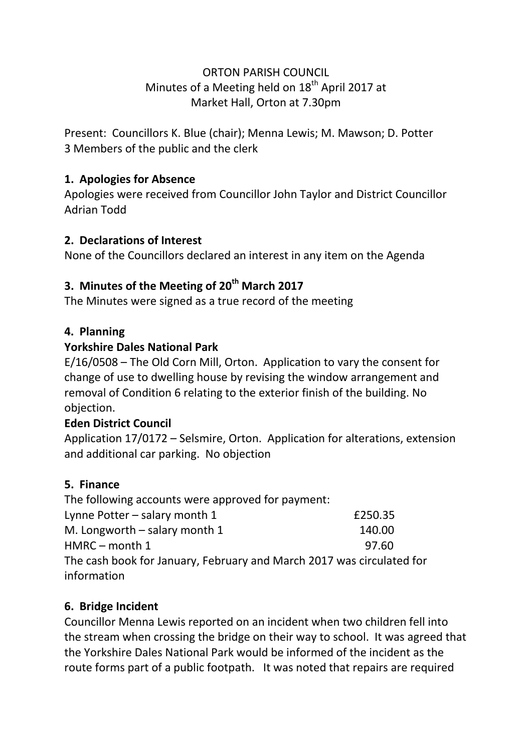#### ORTON PARISH COUNCIL Minutes of a Meeting held on  $18<sup>th</sup>$  April 2017 at Market Hall, Orton at 7.30pm

Present: Councillors K. Blue (chair); Menna Lewis; M. Mawson; D. Potter 3 Members of the public and the clerk

# **1. Apologies for Absence**

Apologies were received from Councillor John Taylor and District Councillor Adrian Todd

### **2. Declarations of Interest**

None of the Councillors declared an interest in any item on the Agenda

# **3. Minutes of the Meeting of 20th March 2017**

The Minutes were signed as a true record of the meeting

# **4. Planning**

# **Yorkshire Dales National Park**

E/16/0508 – The Old Corn Mill, Orton. Application to vary the consent for change of use to dwelling house by revising the window arrangement and removal of Condition 6 relating to the exterior finish of the building. No objection.

### **Eden District Council**

Application 17/0172 – Selsmire, Orton. Application for alterations, extension and additional car parking. No objection

# **5. Finance**

The following accounts were approved for payment:

| Lynne Potter $-$ salary month 1                                       | £250.35 |
|-----------------------------------------------------------------------|---------|
| M. Longworth $-$ salary month 1                                       | 140.00  |
| $HMRC$ – month 1                                                      | 97.60   |
| The cash book for January, February and March 2017 was circulated for |         |
| information                                                           |         |

# **6. Bridge Incident**

Councillor Menna Lewis reported on an incident when two children fell into the stream when crossing the bridge on their way to school. It was agreed that the Yorkshire Dales National Park would be informed of the incident as the route forms part of a public footpath. It was noted that repairs are required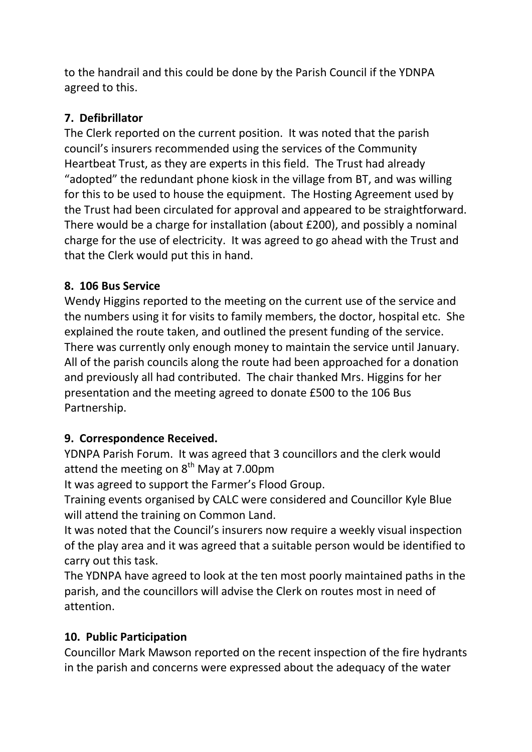to the handrail and this could be done by the Parish Council if the YDNPA agreed to this.

# **7. Defibrillator**

The Clerk reported on the current position. It was noted that the parish council's insurers recommended using the services of the Community Heartbeat Trust, as they are experts in this field. The Trust had already "adopted" the redundant phone kiosk in the village from BT, and was willing for this to be used to house the equipment. The Hosting Agreement used by the Trust had been circulated for approval and appeared to be straightforward. There would be a charge for installation (about £200), and possibly a nominal charge for the use of electricity. It was agreed to go ahead with the Trust and that the Clerk would put this in hand.

# **8. 106 Bus Service**

Wendy Higgins reported to the meeting on the current use of the service and the numbers using it for visits to family members, the doctor, hospital etc. She explained the route taken, and outlined the present funding of the service. There was currently only enough money to maintain the service until January. All of the parish councils along the route had been approached for a donation and previously all had contributed. The chair thanked Mrs. Higgins for her presentation and the meeting agreed to donate £500 to the 106 Bus Partnership.

### **9. Correspondence Received.**

YDNPA Parish Forum. It was agreed that 3 councillors and the clerk would attend the meeting on  $8<sup>th</sup>$  May at 7.00pm

It was agreed to support the Farmer's Flood Group.

Training events organised by CALC were considered and Councillor Kyle Blue will attend the training on Common Land.

It was noted that the Council's insurers now require a weekly visual inspection of the play area and it was agreed that a suitable person would be identified to carry out this task.

The YDNPA have agreed to look at the ten most poorly maintained paths in the parish, and the councillors will advise the Clerk on routes most in need of attention.

# **10. Public Participation**

Councillor Mark Mawson reported on the recent inspection of the fire hydrants in the parish and concerns were expressed about the adequacy of the water